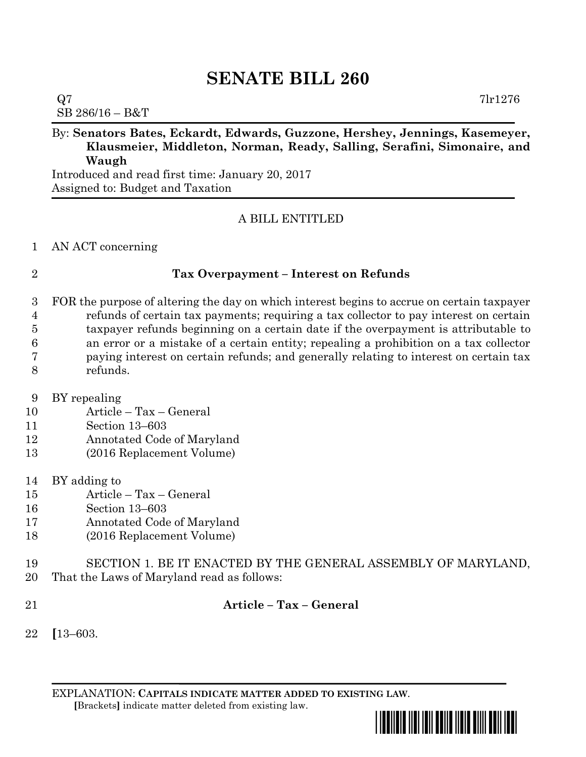# **SENATE BILL 260**

## $Q7$  7lr1276

SB 286/16 – B&T

## By: **Senators Bates, Eckardt, Edwards, Guzzone, Hershey, Jennings, Kasemeyer, Klausmeier, Middleton, Norman, Ready, Salling, Serafini, Simonaire, and Waugh**

Introduced and read first time: January 20, 2017 Assigned to: Budget and Taxation

### A BILL ENTITLED

### AN ACT concerning

### **Tax Overpayment – Interest on Refunds**

 FOR the purpose of altering the day on which interest begins to accrue on certain taxpayer refunds of certain tax payments; requiring a tax collector to pay interest on certain taxpayer refunds beginning on a certain date if the overpayment is attributable to an error or a mistake of a certain entity; repealing a prohibition on a tax collector paying interest on certain refunds; and generally relating to interest on certain tax refunds.

- BY repealing
- Article Tax General
- Section 13–603
- Annotated Code of Maryland
- (2016 Replacement Volume)
- BY adding to
- Article Tax General
- Section 13–603
- Annotated Code of Maryland
- (2016 Replacement Volume)
- SECTION 1. BE IT ENACTED BY THE GENERAL ASSEMBLY OF MARYLAND,
- That the Laws of Maryland read as follows:
- 

### **Article – Tax – General**

**[**13–603.

EXPLANATION: **CAPITALS INDICATE MATTER ADDED TO EXISTING LAW**.  **[**Brackets**]** indicate matter deleted from existing law.